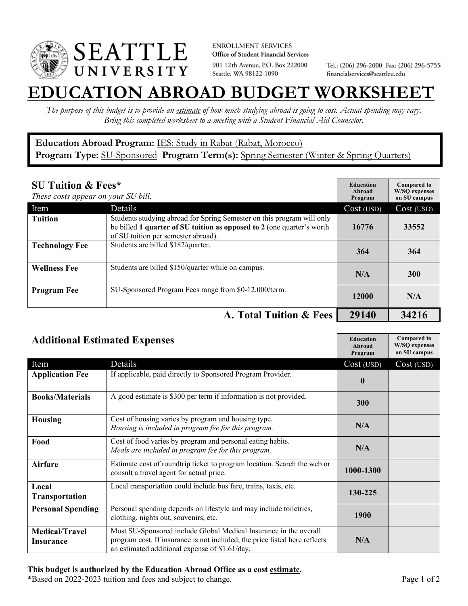

**ENROLLMENT SERVICES** Office of Student Financial Services 901 12th Avenue, P.O. Box 222000 Seattle, WA 98122-1090

Tel.: (206) 296-2000 Fax: (206) 296-5755 financialservices@seattleu.edu

## **EATION ABROAD BUDGET WORKSHEE**

*The purpose of this budget is to provide an estimate of how much studying abroad is going to cost. Actual spending may vary. Bring this completed worksheet to a meeting with a Student Financial Aid Counselor.* 

## **Education Abroad Program:** IES: Study in Rabat (Rabat, Morocco) Program Type: **SU-Sponsored** Program Term(s): **Spring Semester** (Winter & Spring Quarters)

| <b>SU Tuition &amp; Fees*</b><br>These costs appear on your SU bill. |                                                                                                                                                                                         | <b>Education</b><br>Abroad<br>Program | <b>Compared to</b><br><b>W/SO</b> expenses<br>on SU campus |
|----------------------------------------------------------------------|-----------------------------------------------------------------------------------------------------------------------------------------------------------------------------------------|---------------------------------------|------------------------------------------------------------|
| Item                                                                 | Details                                                                                                                                                                                 | Cost (USD)                            | Cost (USD)                                                 |
| <b>Tuition</b>                                                       | Students studying abroad for Spring Semester on this program will only<br>be billed 1 quarter of SU tuition as opposed to 2 (one quarter's worth<br>of SU tuition per semester abroad). | 16776                                 | 33552                                                      |
| <b>Technology Fee</b>                                                | Students are billed \$182/quarter.                                                                                                                                                      | 364                                   | 364                                                        |
| <b>Wellness Fee</b>                                                  | Students are billed \$150/quarter while on campus.                                                                                                                                      | N/A                                   | <b>300</b>                                                 |
| <b>Program Fee</b>                                                   | SU-Sponsored Program Fees range from \$0-12,000/term.                                                                                                                                   | 12000                                 | N/A                                                        |
|                                                                      | A. Total Tuition & Fees                                                                                                                                                                 | 29140                                 | 34216                                                      |

| <b>Additional Estimated Expenses</b> |                                                                                                                                                                                                   | <b>Education</b><br>Abroad<br>Program | <b>Compared to</b><br><b>W/SQ</b> expenses<br>on SU campus |
|--------------------------------------|---------------------------------------------------------------------------------------------------------------------------------------------------------------------------------------------------|---------------------------------------|------------------------------------------------------------|
| Item                                 | Details                                                                                                                                                                                           | Cost (USD)                            | Cost (USD)                                                 |
| <b>Application Fee</b>               | If applicable, paid directly to Sponsored Program Provider.                                                                                                                                       | $\bf{0}$                              |                                                            |
| <b>Books/Materials</b>               | A good estimate is \$300 per term if information is not provided.                                                                                                                                 | 300                                   |                                                            |
| <b>Housing</b>                       | Cost of housing varies by program and housing type.<br>Housing is included in program fee for this program.                                                                                       | N/A                                   |                                                            |
| Food                                 | Cost of food varies by program and personal eating habits.<br>Meals are included in program fee for this program.                                                                                 | N/A                                   |                                                            |
| <b>Airfare</b>                       | Estimate cost of roundtrip ticket to program location. Search the web or<br>consult a travel agent for actual price.                                                                              | 1000-1300                             |                                                            |
| Local<br><b>Transportation</b>       | Local transportation could include bus fare, trains, taxis, etc.                                                                                                                                  | 130-225                               |                                                            |
| <b>Personal Spending</b>             | Personal spending depends on lifestyle and may include toiletries,<br>clothing, nights out, souvenirs, etc.                                                                                       | 1900                                  |                                                            |
| <b>Medical/Travel</b><br>Insurance   | Most SU-Sponsored include Global Medical Insurance in the overall<br>program cost. If insurance is not included, the price listed here reflects<br>an estimated additional expense of \$1.61/day. | N/A                                   |                                                            |

## **This budget is authorized by the Education Abroad Office as a cost estimate.**

\*Based on 2022-2023 tuition and fees and subject to change. Page 1 of 2